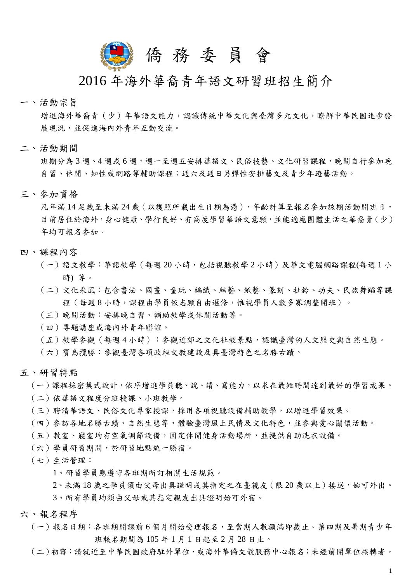

## 2016 年海外華裔青年語文研習班招生簡介

一、活動宗旨

 增進海外華裔青(少)年華語文能力,認識傳統中華文化與臺灣多元文化,瞭解中華民國進步發 展現況,並促進海內外青年互動交流。

二、活動期間

班期分為 3 週、4 週或 6 週,週一至週五安排華語文、民俗技藝、文化研習課程,晚間自行參加晚 自習、休閒、知性或網路等輔助課程;週六及週日另彈性安排藝文及青少年遊藝活動。

三、參加資格

凡年滿14足歲至未滿24歲(以護照所載出生日期為憑),年齡計算至報名參加該期活動開班日, 目前居住於海外,身心健康、學行良好、有高度學習華語文意願,並能適應團體生活之華裔青(少) 年均可報名參加。

- 四、課程內容
	- (一)語文教學:華語教學(每週20小時,包括視聽教學2小時)及華文電腦網路課程(每週1小 時) 等。
	- (二)文化采風:包含書法、國畫、童玩、編織、結藝、紙藝、篆刻、扯鈴、功夫、民族舞蹈等課 程(每週 8 小時,課程由學員依志願自由選修,惟視學員人數多寡調整開班)。
	- (三)晚間活動:安排晚自習、輔助教學或休閒活動等。
	- (四)專題講座或海內外青年聯誼。
	- (五)教學參觀(每週 4 小時):參觀近郊之文化社教景點,認識臺灣的人文歷史與自然生態。
	- (六)寶島攬勝:參觀臺灣各項政經文教建設及具臺灣特色之名勝古蹟。
- 五、研習特點

(一)課程採密集式設計,依序增進學員聽、說、讀、寫能力,以求在最短時間達到最好的學習成果。

- (二)依華語文程度分班授課、小班教學。
- (三)聘請華語文、民俗文化專家授課,採用各項視聽設備輔助教學,以增進學習效果。
- (四)參訪各地名勝古蹟、自然生態等,體驗臺灣風土民情及文化特色,並參與愛心關懷活動。
- (五)教室、寢室均有空氣調節設備,固定休閒健身活動場所,並提供自助洗衣設備。
- (六)學員研習期間,於研習地點統一膳宿。
- (七)生活管理:
	- 1、研習學員應遵守各班期所訂相關生活規範。
	- 2、未滿 18 歲之學員須由父母出具證明或其指定之在臺親友(限 20 歲以上)接送,始可外出。 3、所有學員均須由父母或其指定親友出具證明始可外宿。
- 六、報名程序
	- (一)報名日期:各班期開課前 6 個月開始受理報名,至當期人數額滿即截止。第四期及暑期青少年 班報名期間為105年1月1日起至2月28日止。
	- (二)初審:請就近至中華民國政府駐外單位,或海外華僑文教服務中心報名;未經前開單位核轉者,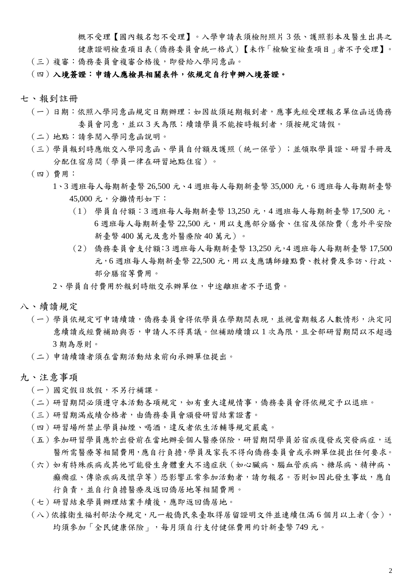概不受理【國內報名恕不受理】。入學申請表須檢附照片 3 張、護照影本及醫生出具之 健康證明檢查項目表(僑務委員會統一格式)【未作「檢驗室檢查項目」者不予受理】。

(三)複審:僑務委員會複審合格後,即發給入學同意函。

## (四)入境簽證:申請人應檢具相關表件,依規定自行申辦入境簽證。

- 七、報到註冊
	- (一)日期:依照入學同意函規定日期辦理;如因故須延期報到者,應事先經受理報名單位函送僑務 委員會同意,並以 3 天為限;續讀學員不能按時報到者,須按規定請假。
	- (二)地點:請參閱入學同意函說明。
	- (三)學員報到時應繳交入學同意函、學員自付額及護照(統一保管);並領取學員證、研習手冊及 分配住宿房間(學員一律在研習地點住宿)。
	- (四)費用:
		- 1、3 週班每人每期新臺幣 26,500 元、4 週班每人每期新臺幣 35,000 元,6 週班每人每期新臺幣 45,000 元,分攤情形如下:
			- $(1)$  學員自付額:3 週班每人每期新臺幣 13,250 元,4 週班每人每期新臺幣 17,500 元, 6 週班每人每期新臺幣 22,500 元,用以支應部分膳食、住宿及保險費(意外平安險 新臺幣 400 萬元及意外醫療險 40 萬元)。
			- (2) 僑務委員會支付額:3 週班每人每期新臺幣 13,250 元,4 週班每人每期新臺幣 17,500 元,6 週班每人每期新臺幣 22,500 元,用以支應講師鐘點費、教材費及參訪、行政、 部分膳宿等費用。
		- 2、學員自付費用於報到時繳交承辦單位,中途離班者不予退費。
- 八、續讀規定
	- (一)學員依規定可申請續讀,僑務委員會得依學員在學期間表現,並視當期報名人數情形,決定同 意續讀或經費補助與否,申請人不得異議。但補助續讀以1次為限,且全部研習期間以不超過 3 期為原則。
	- (二)申請續讀者須在當期活動結束前向承辦單位提出。
- 九、注意事項
	- (一)國定假日放假,不另行補課。
	- (二)研習期間必須遵守本活動各項規定,如有重大違規情事,僑務委員會得依規定予以退班。
	- (三)研習期滿成績合格者,由僑務委員會頒發研習結業證書。
	- (四)研習場所禁止學員抽煙、喝酒,違反者依生活輔導規定嚴處。
	- (五)參加研習學員應於出發前在當地辦妥個人醫療保險,研習期間學員若宿疾復發或突發病症,送 醫所需醫療等相關費用,應自行負擔,學員及家長不得向僑務委員會或承辦單位提出任何要求。
	- (六)如有特殊疾病或其他可能發生身體重大不適症狀(如心臟病、腦血管疾病、糖尿病、精神病、 癲癇症、傳染疾病及懷孕等)恐影響正常參加活動者,請勿報名。否則如因此發生事故,應自 行負責,並自行負擔醫療及返回僑居地等相關費用。
	- (七)研習結束學員辦理結業手續後,應即返回僑居地。
	- (八)依據衛生福利部法令規定,凡一般僑民來臺取得居留證明文件並連續住滿 6 個月以上者(含), 均須參加「全民健康保險」,每月須自行支付健保費用約計新臺幣749元。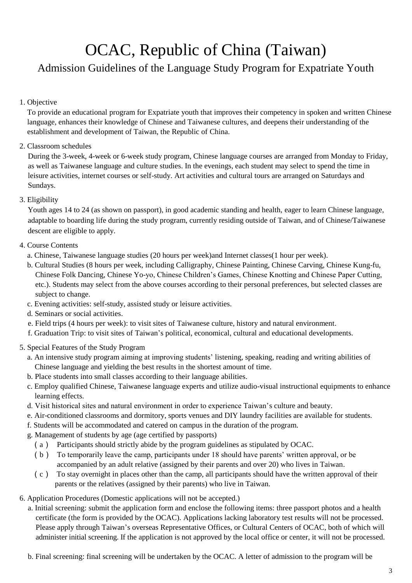## OCAC, Republic of China (Taiwan)

## Admission Guidelines of the Language Study Program for Expatriate Youth

1. Objective

 To provide an educational program for Expatriate youth that improves their competency in spoken and written Chinese language, enhances their knowledge of Chinese and Taiwanese cultures, and deepens their understanding of the establishment and development of Taiwan, the Republic of China.

2. Classroom schedules

During the 3-week, 4-week or 6-week study program, Chinese language courses are arranged from Monday to Friday, as well as Taiwanese language and culture studies. In the evenings, each student may select to spend the time in leisure activities, internet courses or self-study. Art activities and cultural tours are arranged on Saturdays and Sundays.

3. Eligibility

Youth ages 14 to 24 (as shown on passport), in good academic standing and health, eager to learn Chinese language, adaptable to boarding life during the study program, currently residing outside of Taiwan, and of Chinese/Taiwanese descent are eligible to apply.

- 4. Course Contents
	- a. Chinese, Taiwanese language studies (20 hours per week)and Internet classes(1 hour per week).
	- b. Cultural Studies (8 hours per week, including Calligraphy, Chinese Painting, Chinese Carving, Chinese Kung-fu, Chinese Folk Dancing, Chinese Yo-yo, Chinese Children's Games, Chinese Knotting and Chinese Paper Cutting, etc.). Students may select from the above courses according to their personal preferences, but selected classes are subject to change.
	- c. Evening activities: self-study, assisted study or leisure activities.
	- d. Seminars or social activities.
	- e. Field trips (4 hours per week): to visit sites of Taiwanese culture, history and natural environment.
	- f. Graduation Trip: to visit sites of Taiwan's political, economical, cultural and educational developments.
- 5. Special Features of the Study Program
	- a. An intensive study program aiming at improving students' listening, speaking, reading and writing abilities of Chinese language and yielding the best results in the shortest amount of time.
	- b. Place students into small classes according to their language abilities.
	- c. Employ qualified Chinese, Taiwanese language experts and utilize audio-visual instructional equipments to enhance learning effects.
	- d. Visit historical sites and natural environment in order to experience Taiwan's culture and beauty.
	- e. Air-conditioned classrooms and dormitory, sports venues and DIY laundry facilities are available for students.
	- f. Students will be accommodated and catered on campus in the duration of the program.
	- g. Management of students by age (age certified by passports)
		- (a) Participants should strictly abide by the program guidelines as stipulated by OCAC.
		- (b) To temporarily leave the camp, participants under 18 should have parents' written approval, or be accompanied by an adult relative (assigned by their parents and over 20) who lives in Taiwan.
		- $(c)$  To stay overnight in places other than the camp, all participants should have the written approval of their parents or the relatives (assigned by their parents) who live in Taiwan.
- 6. Application Procedures (Domestic applications will not be accepted.)
	- a. Initial screening: submit the application form and enclose the following items: three passport photos and a health certificate (the form is provided by the OCAC). Applications lacking laboratory test results will not be processed. Please apply through Taiwan's overseas Representative Offices, or Cultural Centers of OCAC, both of which will administer initial screening. If the application is not approved by the local office or center, it will not be processed.
	- b. Final screening: final screening will be undertaken by the OCAC. A letter of admission to the program will be